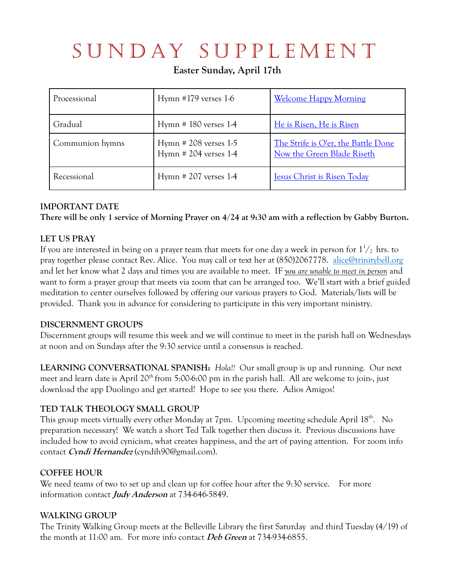# SUNDAY SUPPLEMENT

**Easter Sunday, April 17th**

| Processional    | Hymn $\#179$ verses 1-6                           | <b>Welcome Happy Morning</b>                                      |
|-----------------|---------------------------------------------------|-------------------------------------------------------------------|
| Gradual         | Hymn $# 180$ verses 1-4                           | He is Risen, He is Risen                                          |
| Communion hymns | Hymn $#208$ verses 1-5<br>Hymn $# 204$ verses 1-4 | The Strife is O'er, the Battle Done<br>Now the Green Blade Riseth |
| Recessional     | Hymn $# 207$ verses 1-4                           | <b>Jesus Christ is Risen Today</b>                                |

# **IMPORTANT DATE**

**There will be only 1 service of Morning Prayer on 4/24 at 9:30 am with a reflection by Gabby Burton.**

# **LET US PRAY**

If you are interested in being on a prayer team that meets for one day a week in person for  $1\frac{1}{2}$  hrs. to pray together please contact Rev. Alice. You may call or text her at (850)2067778. alice@trinitybell.org and let her know what 2 days and times you are available to meet. IF *you are unable to meet in person* and want to form a prayer group that meets via zoom that can be arranged too. We'll start with a brief guided meditation to center ourselves followed by offering our various prayers to God. Materials/lists will be provided. Thank you in advance for considering to participate in this very important ministry.

### **DISCERNMENT GROUPS**

Discernment groups will resume this week and we will continue to meet in the parish hall on Wednesdays at noon and on Sundays after the 9:30 service until a consensus is reached.

**LEARNING CONVERSATIONAL SPANISH:** *Hola!!* Our small group is up and running. Our next meet and learn date is April 20<sup>th</sup> from 5:00-6:00 pm in the parish hall. All are welcome to join-, just download the app Duolingo and get started! Hope to see you there. Adios Amigos!

### **TED TALK THEOLOGY SMALL GROUP**

This group meets virtually every other Monday at 7pm. Upcoming meeting schedule April 18<sup>th</sup>. No preparation necessary! We watch a short Ted Talk together then discuss it. Previous discussions have included how to avoid cynicism, what creates happiness, and the art of paying attention. For zoom info contact **Cyndi Hernandez** (cyndih90@gmail.com).

### **COFFEE HOUR**

We need teams of two to set up and clean up for coffee hour after the 9:30 service. For more information contact **Judy Anderson** at 734-646-5849.

### **WALKING GROUP**

The Trinity Walking Group meets at the Belleville Library the first Saturday and third Tuesday (4/19) of the month at 11:00 am. For more info contact **Deb Green** at 734-934-6855.